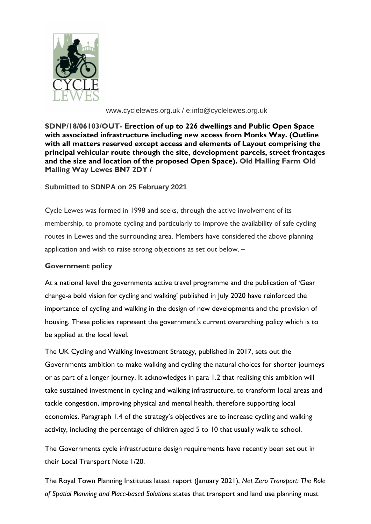

www.cyclelewes.org.uk / e:info@cyclelewes.org.uk

**SDNP/18/06103/OUT- Erection of up to 226 dwellings and Public Open Space with associated infrastructure including new access from Monks Way. (Outline with all matters reserved except access and elements of Layout comprising the principal vehicular route through the site, development parcels, street frontages and the size and location of the proposed Open Space). Old Malling Farm Old Malling Way Lewes BN7 2DY /** 

## **Submitted to SDNPA on 25 February 2021**

Cycle Lewes was formed in 1998 and seeks, through the active involvement of its membership, to promote cycling and particularly to improve the availability of safe cycling routes in Lewes and the surrounding area. Members have considered the above planning application and wish to raise strong objections as set out below. –

# **Government policy**

At a national level the governments active travel programme and the publication of 'Gear change-a bold vision for cycling and walking' published in July 2020 have reinforced the importance of cycling and walking in the design of new developments and the provision of housing. These policies represent the government's current overarching policy which is to be applied at the local level.

The UK Cycling and Walking Investment Strategy, published in 2017, sets out the Governments ambition to make walking and cycling the natural choices for shorter journeys or as part of a longer journey. It acknowledges in para 1.2 that realising this ambition will take sustained investment in cycling and walking infrastructure, to transform local areas and tackle congestion, improving physical and mental health, therefore supporting local economies. Paragraph 1.4 of the strategy's objectives are to increase cycling and walking activity, including the percentage of children aged 5 to 10 that usually walk to school.

The Governments cycle infrastructure design requirements have recently been set out in their Local Transport Note 1/20.

The Royal Town Planning Institutes latest report (January 2021), *Net Zero Transport: The Role of Spatial Planning and Place-based Solutions* states that transport and land use planning must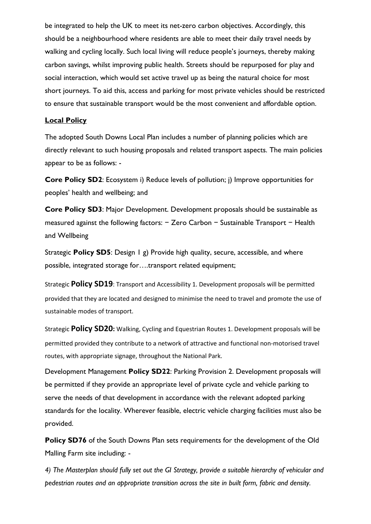be integrated to help the UK to meet its net-zero carbon objectives. Accordingly, this should be a neighbourhood where residents are able to meet their daily travel needs by walking and cycling locally. Such local living will reduce people's journeys, thereby making carbon savings, whilst improving public health. Streets should be repurposed for play and social interaction, which would set active travel up as being the natural choice for most short journeys. To aid this, access and parking for most private vehicles should be restricted to ensure that sustainable transport would be the most convenient and affordable option.

#### **Local Policy**

The adopted South Downs Local Plan includes a number of planning policies which are directly relevant to such housing proposals and related transport aspects. The main policies appear to be as follows: -

**Core Policy SD2**: Ecosystem i) Reduce levels of pollution; j) Improve opportunities for peoples' health and wellbeing; and

**Core Policy SD3**: Major Development. Development proposals should be sustainable as measured against the following factors: − Zero Carbon − Sustainable Transport − Health and Wellbeing

Strategic **Policy SD5**: Design 1 g) Provide high quality, secure, accessible, and where possible, integrated storage for….transport related equipment;

Strategic **Policy SD19**: Transport and Accessibility 1. Development proposals will be permitted provided that they are located and designed to minimise the need to travel and promote the use of sustainable modes of transport.

Strategic **Policy SD20:** Walking, Cycling and Equestrian Routes 1. Development proposals will be permitted provided they contribute to a network of attractive and functional non-motorised travel routes, with appropriate signage, throughout the National Park.

Development Management **Policy SD22**: Parking Provision 2. Development proposals will be permitted if they provide an appropriate level of private cycle and vehicle parking to serve the needs of that development in accordance with the relevant adopted parking standards for the locality. Wherever feasible, electric vehicle charging facilities must also be provided.

**Policy SD76** of the South Downs Plan sets requirements for the development of the Old Malling Farm site including: -

*4) The Masterplan should fully set out the GI Strategy, provide a suitable hierarchy of vehicular and pedestrian routes and an appropriate transition across the site in built form, fabric and density.*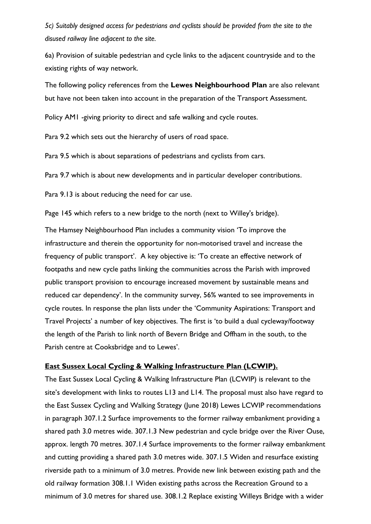*5c) Suitably designed access for pedestrians and cyclists should be provided from the site to the disused railway line adjacent to the site.*

6a) Provision of suitable pedestrian and cycle links to the adjacent countryside and to the existing rights of way network.

The following policy references from the **Lewes Neighbourhood Plan** are also relevant but have not been taken into account in the preparation of the Transport Assessment.

Policy AM1 -giving priority to direct and safe walking and cycle routes.

Para 9.2 which sets out the hierarchy of users of road space.

Para 9.5 which is about separations of pedestrians and cyclists from cars.

Para 9.7 which is about new developments and in particular developer contributions.

Para 9.13 is about reducing the need for car use.

Page 145 which refers to a new bridge to the north (next to Willey's bridge).

The Hamsey Neighbourhood Plan includes a community vision 'To improve the infrastructure and therein the opportunity for non-motorised travel and increase the frequency of public transport'. A key objective is: 'To create an effective network of footpaths and new cycle paths linking the communities across the Parish with improved public transport provision to encourage increased movement by sustainable means and reduced car dependency'. In the community survey, 56% wanted to see improvements in cycle routes. In response the plan lists under the 'Community Aspirations: Transport and Travel Projects' a number of key objectives. The first is 'to build a dual cycleway/footway the length of the Parish to link north of Bevern Bridge and Offham in the south, to the Parish centre at Cooksbridge and to Lewes'.

#### **East Sussex Local Cycling & Walking Infrastructure Plan (LCWIP).**

The East Sussex Local Cycling & Walking Infrastructure Plan (LCWIP) is relevant to the site's development with links to routes L13 and L14. The proposal must also have regard to the East Sussex Cycling and Walking Strategy (June 2018) Lewes LCWIP recommendations in paragraph 307.1.2 Surface improvements to the former railway embankment providing a shared path 3.0 metres wide. 307.1.3 New pedestrian and cycle bridge over the River Ouse, approx. length 70 metres. 307.1.4 Surface improvements to the former railway embankment and cutting providing a shared path 3.0 metres wide. 307.1.5 Widen and resurface existing riverside path to a minimum of 3.0 metres. Provide new link between existing path and the old railway formation 308.1.1 Widen existing paths across the Recreation Ground to a minimum of 3.0 metres for shared use. 308.1.2 Replace existing Willeys Bridge with a wider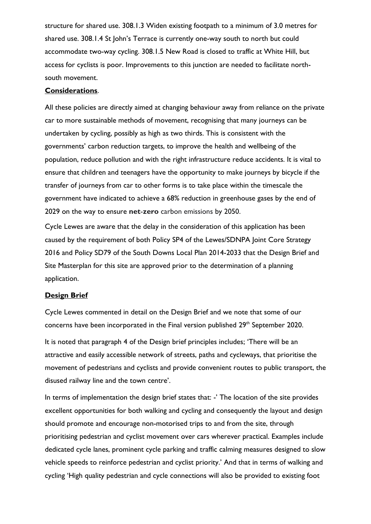structure for shared use. 308.1.3 Widen existing footpath to a minimum of 3.0 metres for shared use. 308.1.4 St John's Terrace is currently one-way south to north but could accommodate two-way cycling. 308.1.5 New Road is closed to traffic at White Hill, but access for cyclists is poor. Improvements to this junction are needed to facilitate northsouth movement.

### **Considerations**.

All these policies are directly aimed at changing behaviour away from reliance on the private car to more sustainable methods of movement, recognising that many journeys can be undertaken by cycling, possibly as high as two thirds. This is consistent with the governments' carbon reduction targets, to improve the health and wellbeing of the population, reduce pollution and with the right infrastructure reduce accidents. It is vital to ensure that children and teenagers have the opportunity to make journeys by bicycle if the transfer of journeys from car to other forms is to take place within the timescale the government have indicated to achieve a 68% reduction in greenhouse gases by the end of 2029 on the way to ensure **net**-**zero** carbon emissions by 2050.

Cycle Lewes are aware that the delay in the consideration of this application has been caused by the requirement of both Policy SP4 of the Lewes/SDNPA Joint Core Strategy 2016 and Policy SD79 of the South Downs Local Plan 2014-2033 that the Design Brief and Site Masterplan for this site are approved prior to the determination of a planning application.

### **Design Brief**

Cycle Lewes commented in detail on the Design Brief and we note that some of our concerns have been incorporated in the Final version published 29<sup>th</sup> September 2020.

It is noted that paragraph 4 of the Design brief principles includes; 'There will be an attractive and easily accessible network of streets, paths and cycleways, that prioritise the movement of pedestrians and cyclists and provide convenient routes to public transport, the disused railway line and the town centre'.

In terms of implementation the design brief states that: -' The location of the site provides excellent opportunities for both walking and cycling and consequently the layout and design should promote and encourage non-motorised trips to and from the site, through prioritising pedestrian and cyclist movement over cars wherever practical. Examples include dedicated cycle lanes, prominent cycle parking and traffic calming measures designed to slow vehicle speeds to reinforce pedestrian and cyclist priority.' And that in terms of walking and cycling 'High quality pedestrian and cycle connections will also be provided to existing foot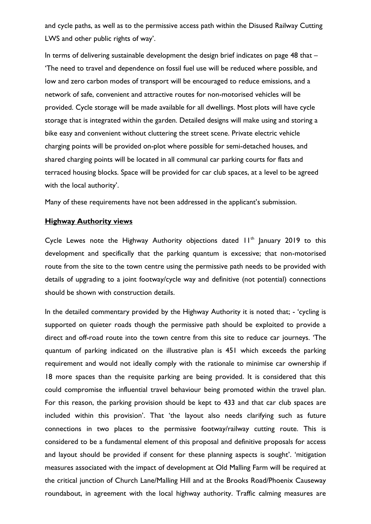and cycle paths, as well as to the permissive access path within the Disused Railway Cutting LWS and other public rights of way'.

In terms of delivering sustainable development the design brief indicates on page 48 that – 'The need to travel and dependence on fossil fuel use will be reduced where possible, and low and zero carbon modes of transport will be encouraged to reduce emissions, and a network of safe, convenient and attractive routes for non-motorised vehicles will be provided. Cycle storage will be made available for all dwellings. Most plots will have cycle storage that is integrated within the garden. Detailed designs will make using and storing a bike easy and convenient without cluttering the street scene. Private electric vehicle charging points will be provided on-plot where possible for semi-detached houses, and shared charging points will be located in all communal car parking courts for flats and terraced housing blocks. Space will be provided for car club spaces, at a level to be agreed with the local authority'.

Many of these requirements have not been addressed in the applicant's submission.

### **Highway Authority views**

Cycle Lewes note the Highway Authority objections dated  $H<sup>th</sup>$  January 2019 to this development and specifically that the parking quantum is excessive; that non-motorised route from the site to the town centre using the permissive path needs to be provided with details of upgrading to a joint footway/cycle way and definitive (not potential) connections should be shown with construction details.

In the detailed commentary provided by the Highway Authority it is noted that; - 'cycling is supported on quieter roads though the permissive path should be exploited to provide a direct and off-road route into the town centre from this site to reduce car journeys. 'The quantum of parking indicated on the illustrative plan is 451 which exceeds the parking requirement and would not ideally comply with the rationale to minimise car ownership if 18 more spaces than the requisite parking are being provided. It is considered that this could compromise the influential travel behaviour being promoted within the travel plan. For this reason, the parking provision should be kept to 433 and that car club spaces are included within this provision'. That 'the layout also needs clarifying such as future connections in two places to the permissive footway/railway cutting route. This is considered to be a fundamental element of this proposal and definitive proposals for access and layout should be provided if consent for these planning aspects is sought'. 'mitigation measures associated with the impact of development at Old Malling Farm will be required at the critical junction of Church Lane/Malling Hill and at the Brooks Road/Phoenix Causeway roundabout, in agreement with the local highway authority. Traffic calming measures are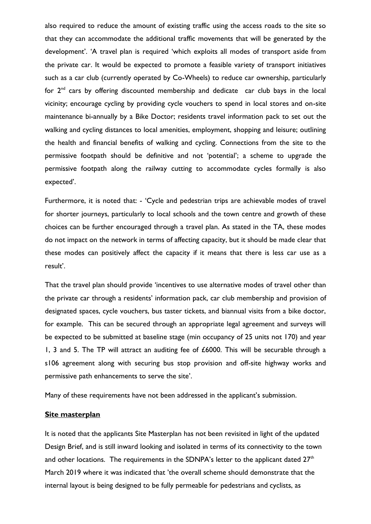also required to reduce the amount of existing traffic using the access roads to the site so that they can accommodate the additional traffic movements that will be generated by the development'. 'A travel plan is required 'which exploits all modes of transport aside from the private car. It would be expected to promote a feasible variety of transport initiatives such as a car club (currently operated by Co-Wheels) to reduce car ownership, particularly for  $2<sup>nd</sup>$  cars by offering discounted membership and dedicate car club bays in the local vicinity; encourage cycling by providing cycle vouchers to spend in local stores and on-site maintenance bi-annually by a Bike Doctor; residents travel information pack to set out the walking and cycling distances to local amenities, employment, shopping and leisure; outlining the health and financial benefits of walking and cycling. Connections from the site to the permissive footpath should be definitive and not 'potential'; a scheme to upgrade the permissive footpath along the railway cutting to accommodate cycles formally is also expected'.

Furthermore, it is noted that: - 'Cycle and pedestrian trips are achievable modes of travel for shorter journeys, particularly to local schools and the town centre and growth of these choices can be further encouraged through a travel plan. As stated in the TA, these modes do not impact on the network in terms of affecting capacity, but it should be made clear that these modes can positively affect the capacity if it means that there is less car use as a result'.

That the travel plan should provide 'incentives to use alternative modes of travel other than the private car through a residents' information pack, car club membership and provision of designated spaces, cycle vouchers, bus taster tickets, and biannual visits from a bike doctor, for example. This can be secured through an appropriate legal agreement and surveys will be expected to be submitted at baseline stage (min occupancy of 25 units not 170) and year 1, 3 and 5. The TP will attract an auditing fee of  $£6000$ . This will be securable through a s106 agreement along with securing bus stop provision and off-site highway works and permissive path enhancements to serve the site'.

Many of these requirements have not been addressed in the applicant's submission.

#### **Site masterplan**

It is noted that the applicants Site Masterplan has not been revisited in light of the updated Design Brief, and is still inward looking and isolated in terms of its connectivity to the town and other locations. The requirements in the SDNPA's letter to the applicant dated  $27<sup>th</sup>$ March 2019 where it was indicated that 'the overall scheme should demonstrate that the internal layout is being designed to be fully permeable for pedestrians and cyclists, as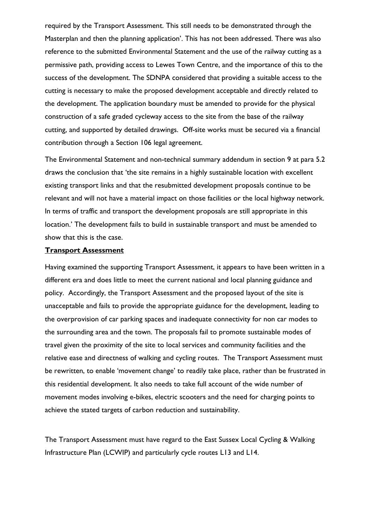required by the Transport Assessment. This still needs to be demonstrated through the Masterplan and then the planning application'. This has not been addressed. There was also reference to the submitted Environmental Statement and the use of the railway cutting as a permissive path, providing access to Lewes Town Centre, and the importance of this to the success of the development. The SDNPA considered that providing a suitable access to the cutting is necessary to make the proposed development acceptable and directly related to the development. The application boundary must be amended to provide for the physical construction of a safe graded cycleway access to the site from the base of the railway cutting, and supported by detailed drawings. Off-site works must be secured via a financial contribution through a Section 106 legal agreement.

The Environmental Statement and non-technical summary addendum in section 9 at para 5.2 draws the conclusion that 'the site remains in a highly sustainable location with excellent existing transport links and that the resubmitted development proposals continue to be relevant and will not have a material impact on those facilities or the local highway network. In terms of traffic and transport the development proposals are still appropriate in this location.' The development fails to build in sustainable transport and must be amended to show that this is the case.

## **Transport Assessment**

Having examined the supporting Transport Assessment, it appears to have been written in a different era and does little to meet the current national and local planning guidance and policy. Accordingly, the Transport Assessment and the proposed layout of the site is unacceptable and fails to provide the appropriate guidance for the development, leading to the overprovision of car parking spaces and inadequate connectivity for non car modes to the surrounding area and the town. The proposals fail to promote sustainable modes of travel given the proximity of the site to local services and community facilities and the relative ease and directness of walking and cycling routes. The Transport Assessment must be rewritten, to enable 'movement change' to readily take place, rather than be frustrated in this residential development. It also needs to take full account of the wide number of movement modes involving e-bikes, electric scooters and the need for charging points to achieve the stated targets of carbon reduction and sustainability.

The Transport Assessment must have regard to the East Sussex Local Cycling & Walking Infrastructure Plan (LCWIP) and particularly cycle routes L13 and L14.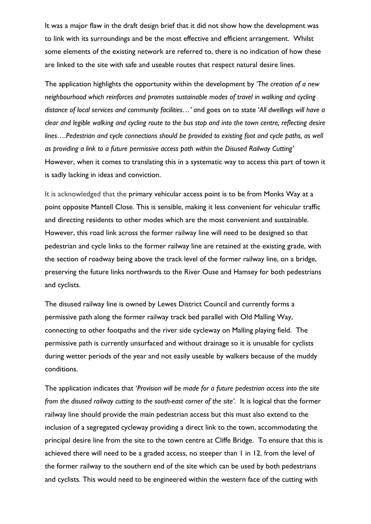It was a major flaw in the draft design brief that it did not show how the development was to link with its surroundings and be the most effective and efficient arrangement. Whilst some elements of the existing network are referred to, there is no indication of how these are linked to the site with safe and useable routes that respect natural desire lines.

The application highlights the opportunity within the development by *'The creation of a new neighbourhood which reinforces and promotes sustainable modes of travel in walking and cycling distance of local services and community facilities…' a*nd goes on to state '*All dwellings will have a clear and legible walking and cycling route to the bus stop and into the town centre, reflecting desire lines….Pedestrian and cycle connections should be provided to existing foot and cycle paths, as well as providing a link to a future permissive access path within the Disused Railway Cutting'*  However, when it comes to translating this in a systematic way to access this part of town it is sadly lacking in ideas and conviction.

It is acknowledged that the primary vehicular access point is to be from Monks Way at a point opposite Mantell Close. This is sensible, making it less convenient for vehicular traffic and directing residents to other modes which are the most convenient and sustainable. However, this road link across the former railway line will need to be designed so that pedestrian and cycle links to the former railway line are retained at the existing grade, with the section of roadway being above the track level of the former railway line, on a bridge, preserving the future links northwards to the River Ouse and Hamsey for both pedestrians and cyclists.

The disused railway line is owned by Lewes District Council and currently forms a permissive path along the former railway track bed parallel with Old Malling Way, connecting to other footpaths and the river side cycleway on Malling playing field. The permissive path is currently unsurfaced and without drainage so it is unusable for cyclists during wetter periods of the year and not easily useable by walkers because of the muddy conditions.

The application indicates that '*Provision will be made for a future pedestrian access into the site from the disused railway cutting to the south-east corner of the site'.* It is logical that the former railway line should provide the main pedestrian access but this must also extend to the inclusion of a segregated cycleway providing a direct link to the town, accommodating the principal desire line from the site to the town centre at Cliffe Bridge. To ensure that this is achieved there will need to be a graded access, no steeper than 1 in 12, from the level of the former railway to the southern end of the site which can be used by both pedestrians and cyclists. This would need to be engineered within the western face of the cutting with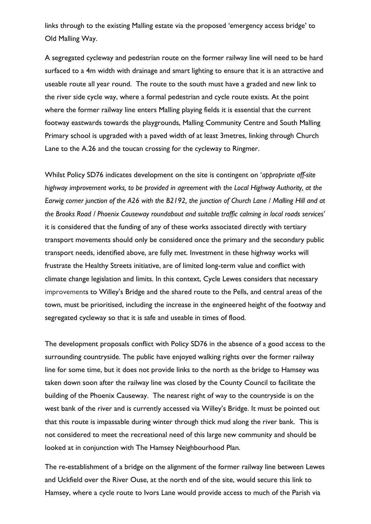links through to the existing Malling estate via the proposed 'emergency access bridge' to Old Malling Way.

A segregated cycleway and pedestrian route on the former railway line will need to be hard surfaced to a 4m width with drainage and smart lighting to ensure that it is an attractive and useable route all year round. The route to the south must have a graded and new link to the river side cycle way, where a formal pedestrian and cycle route exists. At the point where the former railway line enters Malling playing fields it is essential that the current footway eastwards towards the playgrounds, Malling Community Centre and South Malling Primary school is upgraded with a paved width of at least 3metres, linking through Church Lane to the A.26 and the toucan crossing for the cycleway to Ringmer.

Whilst Policy SD76 indicates development on the site is contingent on '*appropriate off-site highway improvement works, to be provided in agreement with the Local Highway Authority, at the Earwig corner junction of the A26 with the B2192, the junction of Church Lane / Malling Hill and at the Brooks Road / Phoenix Causeway roundabout and suitable traffic calming in local roads services*' it is considered that the funding of any of these works associated directly with tertiary transport movements should only be considered once the primary and the secondary public transport needs, identified above, are fully met. Investment in these highway works will frustrate the Healthy Streets initiative, are of limited long-term value and conflict with climate change legislation and limits. In this context, Cycle Lewes considers that necessary improvements to Willey's Bridge and the shared route to the Pells, and central areas of the town, must be prioritised, including the increase in the engineered height of the footway and segregated cycleway so that it is safe and useable in times of flood.

The development proposals conflict with Policy SD76 in the absence of a good access to the surrounding countryside. The public have enjoyed walking rights over the former railway line for some time, but it does not provide links to the north as the bridge to Hamsey was taken down soon after the railway line was closed by the County Council to facilitate the building of the Phoenix Causeway. The nearest right of way to the countryside is on the west bank of the river and is currently accessed via Willey's Bridge. It must be pointed out that this route is impassable during winter through thick mud along the river bank. This is not considered to meet the recreational need of this large new community and should be looked at in conjunction with The Hamsey Neighbourhood Plan.

The re-establishment of a bridge on the alignment of the former railway line between Lewes and Uckfield over the River Ouse, at the north end of the site, would secure this link to Hamsey, where a cycle route to Ivors Lane would provide access to much of the Parish via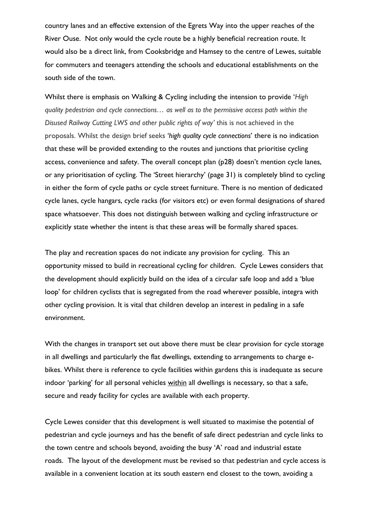country lanes and an effective extension of the Egrets Way into the upper reaches of the River Ouse. Not only would the cycle route be a highly beneficial recreation route. It would also be a direct link, from Cooksbridge and Hamsey to the centre of Lewes, suitable for commuters and teenagers attending the schools and educational establishments on the south side of the town.

Whilst there is emphasis on Walking & Cycling including the intension to provide '*High quality pedestrian and cycle connections… as well as to the permissive access path within the Disused Railway Cutting LWS and other public rights of way'* this is not achieved in the proposals. Whilst the design brief seeks '*high quality cycle connections*' there is no indication that these will be provided extending to the routes and junctions that prioritise cycling access, convenience and safety. The overall concept plan (p28) doesn't mention cycle lanes, or any prioritisation of cycling. The 'Street hierarchy' (page 31) is completely blind to cycling in either the form of cycle paths or cycle street furniture. There is no mention of dedicated cycle lanes, cycle hangars, cycle racks (for visitors etc) or even formal designations of shared space whatsoever. This does not distinguish between walking and cycling infrastructure or explicitly state whether the intent is that these areas will be formally shared spaces.

The play and recreation spaces do not indicate any provision for cycling. This an opportunity missed to build in recreational cycling for children. Cycle Lewes considers that the development should explicitly build on the idea of a circular safe loop and add a 'blue loop' for children cyclists that is segregated from the road wherever possible, integra with other cycling provision. It is vital that children develop an interest in pedaling in a safe environment.

With the changes in transport set out above there must be clear provision for cycle storage in all dwellings and particularly the flat dwellings, extending to arrangements to charge ebikes. Whilst there is reference to cycle facilities within gardens this is inadequate as secure indoor 'parking' for all personal vehicles within all dwellings is necessary, so that a safe, secure and ready facility for cycles are available with each property.

Cycle Lewes consider that this development is well situated to maximise the potential of pedestrian and cycle journeys and has the benefit of safe direct pedestrian and cycle links to the town centre and schools beyond, avoiding the busy 'A' road and industrial estate roads. The layout of the development must be revised so that pedestrian and cycle access is available in a convenient location at its south eastern end closest to the town, avoiding a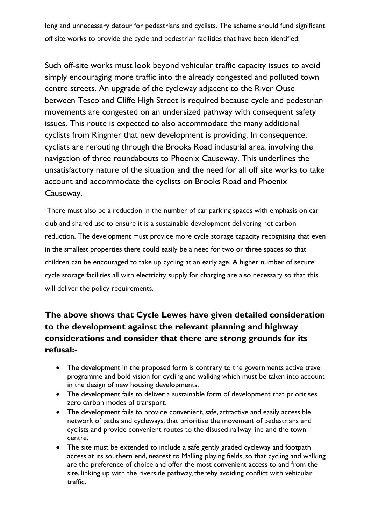long and unnecessary detour for pedestrians and cyclists. The scheme should fund significant off site works to provide the cycle and pedestrian facilities that have been identified.

Such off-site works must look beyond vehicular traffic capacity issues to avoid simply encouraging more traffic into the already congested and polluted town centre streets. An upgrade of the cycleway adjacent to the River Ouse between Tesco and Cliffe High Street is required because cycle and pedestrian movements are congested on an undersized pathway with consequent safety issues. This route is expected to also accommodate the many additional cyclists from Ringmer that new development is providing. In consequence, cyclists are rerouting through the Brooks Road industrial area, involving the navigation of three roundabouts to Phoenix Causeway. This underlines the unsatisfactory nature of the situation and the need for all off site works to take account and accommodate the cyclists on Brooks Road and Phoenix Causeway.

There must also be a reduction in the number of car parking spaces with emphasis on car club and shared use to ensure it is a sustainable development delivering net carbon reduction. The development must provide more cycle storage capacity recognising that even in the smallest properties there could easily be a need for two or three spaces so that children can be encouraged to take up cycling at an early age. A higher number of secure cycle storage facilities all with electricity supply for charging are also necessary so that this will deliver the policy requirements.

# **The above shows that Cycle Lewes have given detailed consideration to the development against the relevant planning and highway considerations and consider that there are strong grounds for its refusal:-**

- The development in the proposed form is contrary to the governments active travel programme and bold vision for cycling and walking which must be taken into account in the design of new housing developments.
- The development fails to deliver a sustainable form of development that prioritises zero carbon modes of transport.
- The development fails to provide convenient, safe, attractive and easily accessible network of paths and cycleways, that prioritise the movement of pedestrians and cyclists and provide convenient routes to the disused railway line and the town centre.
- The site must be extended to include a safe gently graded cycleway and footpath access at its southern end, nearest to Malling playing fields, so that cycling and walking are the preference of choice and offer the most convenient access to and from the site, linking up with the riverside pathway, thereby avoiding conflict with vehicular traffic.